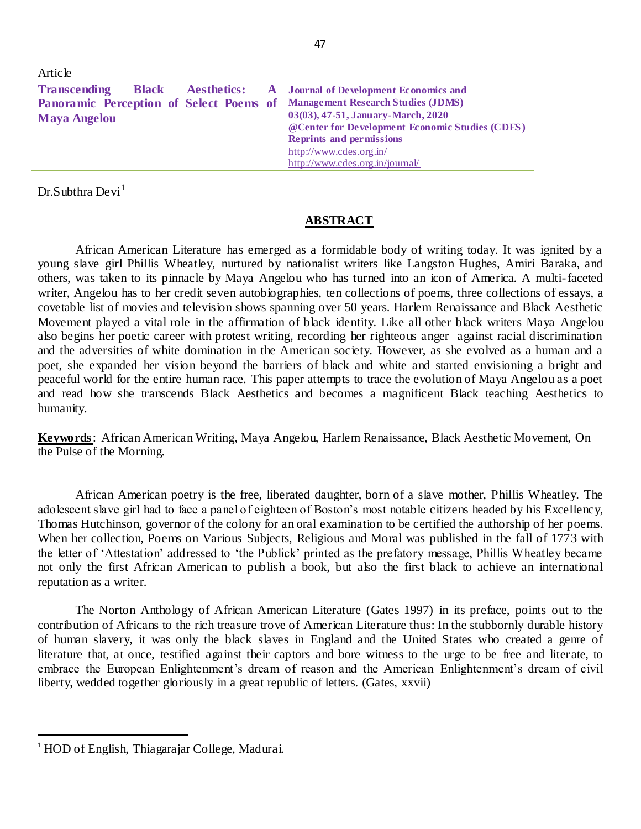| Article                                                                    |                                                                 |
|----------------------------------------------------------------------------|-----------------------------------------------------------------|
| <b>Transcending</b>                                                        | <b>Black Aesthetics:</b> A Journal of Development Economics and |
| Panoramic Perception of Select Poems of Management Research Studies (JDMS) |                                                                 |
| <b>Maya Angelou</b>                                                        | 03(03), 47-51, January-March, 2020                              |
|                                                                            | @Center for Development Economic Studies (CDES)                 |
|                                                                            | <b>Reprints and permissions</b>                                 |
|                                                                            | http://www.cdes.org.in/                                         |
|                                                                            | http://www.cdes.org.in/journal/                                 |

 $Dr.S$ ubthra  $Devi<sup>1</sup>$ 

## **ABSTRACT**

African American Literature has emerged as a formidable body of writing today. It was ignited by a young slave girl Phillis Wheatley, nurtured by nationalist writers like Langston Hughes, Amiri Baraka, and others, was taken to its pinnacle by Maya Angelou who has turned into an icon of America. A multi-faceted writer, Angelou has to her credit seven autobiographies, ten collections of poems, three collections of essays, a covetable list of movies and television shows spanning over 50 years. Harlem Renaissance and Black Aesthetic Movement played a vital role in the affirmation of black identity. Like all other black writers Maya Angelou also begins her poetic career with protest writing, recording her righteous anger against racial discrimination and the adversities of white domination in the American society. However, as she evolved as a human and a poet, she expanded her vision beyond the barriers of black and white and started envisioning a bright and peaceful world for the entire human race. This paper attempts to trace the evolution of Maya Angelou as a poet and read how she transcends Black Aesthetics and becomes a magnificent Black teaching Aesthetics to humanity.

**Keywords**: African American Writing, Maya Angelou, Harlem Renaissance, Black Aesthetic Movement, On the Pulse of the Morning.

African American poetry is the free, liberated daughter, born of a slave mother, Phillis Wheatley. The adolescent slave girl had to face a panel of eighteen of Boston's most notable citizens headed by his Excellency, Thomas Hutchinson, governor of the colony for an oral examination to be certified the authorship of her poems. When her collection, Poems on Various Subjects, Religious and Moral was published in the fall of 1773 with the letter of 'Attestation' addressed to 'the Publick' printed as the prefatory message, Phillis Wheatley became not only the first African American to publish a book, but also the first black to achieve an international reputation as a writer.

The Norton Anthology of African American Literature (Gates 1997) in its preface, points out to the contribution of Africans to the rich treasure trove of American Literature thus: In the stubbornly durable history of human slavery, it was only the black slaves in England and the United States who created a genre of literature that, at once, testified against their captors and bore witness to the urge to be free and liter ate, to embrace the European Enlightenment's dream of reason and the American Enlightenment's dream of civil liberty, wedded together gloriously in a great republic of letters. (Gates, xxvii)

 $\overline{a}$ 

<sup>1</sup> HOD of English, Thiagarajar College, Madurai.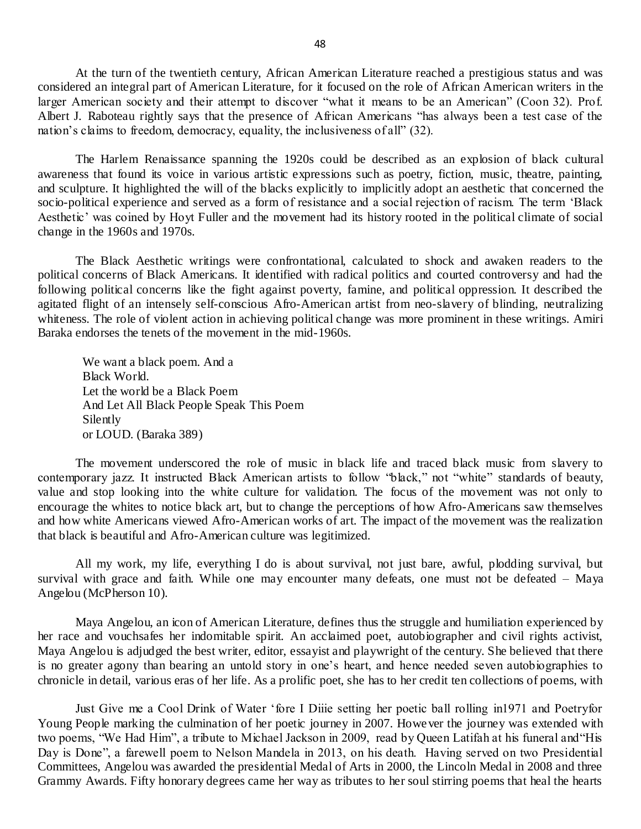At the turn of the twentieth century, African American Literature reached a prestigious status and was considered an integral part of American Literature, for it focused on the role of African American writers in the larger American society and their attempt to discover "what it means to be an American" (Coon 32). Prof. Albert J. Raboteau rightly says that the presence of African Americans "has always been a test case of the nation's claims to freedom, democracy, equality, the inclusiveness of all" (32).

The Harlem Renaissance spanning the 1920s could be described as an explosion of black cultural awareness that found its voice in various artistic expressions such as poetry, fiction, music, theatre, painting, and sculpture. It highlighted the will of the blacks explicitly to implicitly adopt an aesthetic that concerned the socio-political experience and served as a form of resistance and a social rejection of racism. The term 'Black Aesthetic' was coined by Hoyt Fuller and the movement had its history rooted in the political climate of social change in the 1960s and 1970s.

The Black Aesthetic writings were confrontational, calculated to shock and awaken readers to the political concerns of Black Americans. It identified with radical politics and courted controversy and had the following political concerns like the fight against poverty, famine, and political oppression. It described the agitated flight of an intensely self-conscious Afro-American artist from neo-slavery of blinding, neutralizing whiteness. The role of violent action in achieving political change was more prominent in these writings. Amiri Baraka endorses the tenets of the movement in the mid-1960s.

We want a black poem. And a Black World. Let the world be a Black Poem And Let All Black People Speak This Poem Silently or LOUD. (Baraka 389)

The movement underscored the role of music in black life and traced black music from slavery to contemporary jazz. It instructed Black American artists to follow "black," not "white" standards of beauty, value and stop looking into the white culture for validation. The focus of the movement was not only to encourage the whites to notice black art, but to change the perceptions of how Afro-Americans saw themselves and how white Americans viewed Afro-American works of art. The impact of the movement was the realization that black is beautiful and Afro-American culture was legitimized.

All my work, my life, everything I do is about survival, not just bare, awful, plodding survival, but survival with grace and faith. While one may encounter many defeats, one must not be defeated – Maya Angelou (McPherson 10).

Maya Angelou, an icon of American Literature, defines thus the struggle and humiliation experienced by her race and vouchsafes her indomitable spirit. An acclaimed poet, autobiographer and civil rights activist, Maya Angelou is adjudged the best writer, editor, essayist and playwright of the century. She believed that there is no greater agony than bearing an untold story in one's heart, and hence needed seven autobiographies to chronicle in detail, various eras of her life. As a prolific poet, she has to her credit ten collections of poems, with

Just Give me a Cool Drink of Water 'fore I Diiie setting her poetic ball rolling in1971 and Poetryfor Young People marking the culmination of her poetic journey in 2007. However the journey was extended with two poems, "We Had Him", a tribute to Michael Jackson in 2009, read by Queen Latifah at his funeral and"His Day is Done", a farewell poem to Nelson Mandela in 2013, on his death. Having served on two Presidential Committees, Angelou was awarded the presidential Medal of Arts in 2000, the Lincoln Medal in 2008 and three Grammy Awards. Fifty honorary degrees came her way as tributes to her soul stirring poems that heal the hearts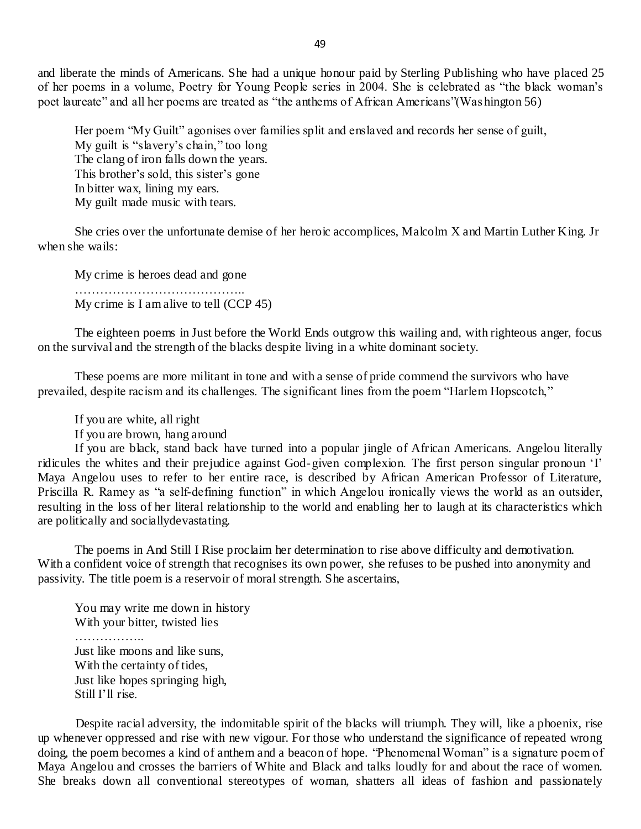and liberate the minds of Americans. She had a unique honour paid by Sterling Publishing who have placed 25 of her poems in a volume, Poetry for Young People series in 2004. She is celebrated as "the black woman's poet laureate" and all her poems are treated as "the anthems of African Americans"(Washington 56)

Her poem "My Guilt" agonises over families split and enslaved and records her sense of guilt, My guilt is "slavery's chain," too long The clang of iron falls down the years. This brother's sold, this sister's gone In bitter wax, lining my ears. My guilt made music with tears.

She cries over the unfortunate demise of her heroic accomplices, Malcolm X and Martin Luther King. Jr when she wails:

My crime is heroes dead and gone ………………………………….. My crime is I am alive to tell (CCP 45)

The eighteen poems in Just before the World Ends outgrow this wailing and, with righteous anger, focus on the survival and the strength of the blacks despite living in a white dominant society.

These poems are more militant in tone and with a sense of pride commend the survivors who have prevailed, despite racism and its challenges. The significant lines from the poem "Harlem Hopscotch,"

If you are white, all right

If you are brown, hang around

If you are black, stand back have turned into a popular jingle of African Americans. Angelou literally ridicules the whites and their prejudice against God-given complexion. The first person singular pronoun 'I' Maya Angelou uses to refer to her entire race, is described by African American Professor of Literature, Priscilla R. Ramey as "a self-defining function" in which Angelou ironically views the world as an outsider, resulting in the loss of her literal relationship to the world and enabling her to laugh at its characteristics which are politically and sociallydevastating.

The poems in And Still I Rise proclaim her determination to rise above difficulty and demotivation. With a confident voice of strength that recognises its own power, she refuses to be pushed into anonymity and passivity. The title poem is a reservoir of moral strength. She ascertains,

You may write me down in history With your bitter, twisted lies ……………..

Just like moons and like suns, With the certainty of tides, Just like hopes springing high, Still I'll rise.

Despite racial adversity, the indomitable spirit of the blacks will triumph. They will, like a phoenix, rise up whenever oppressed and rise with new vigour. For those who understand the significance of repeated wrong doing, the poem becomes a kind of anthem and a beacon of hope. "Phenomenal Woman" is a signature poem of Maya Angelou and crosses the barriers of White and Black and talks loudly for and about the race of women. She breaks down all conventional stereotypes of woman, shatters all ideas of fashion and passionately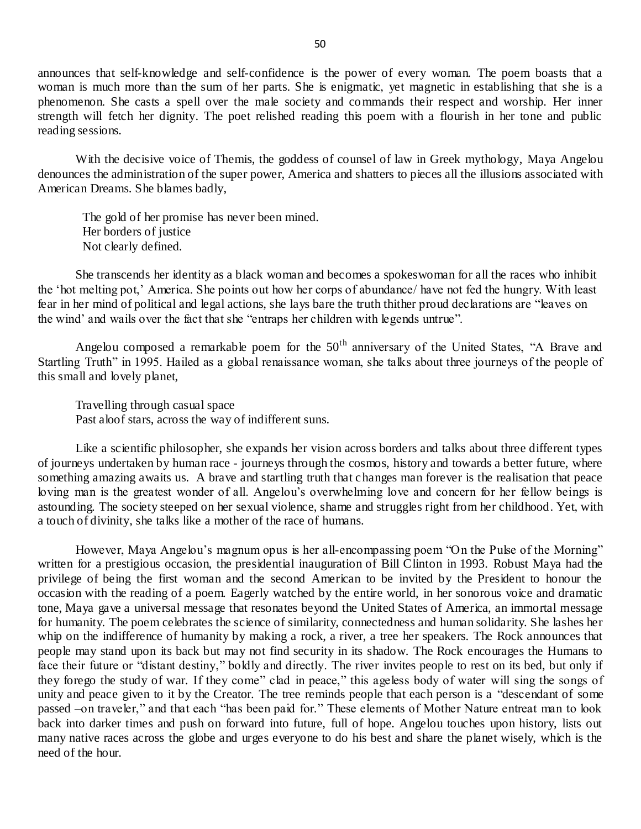announces that self-knowledge and self-confidence is the power of every woman. The poem boasts that a woman is much more than the sum of her parts. She is enigmatic, yet magnetic in establishing that she is a phenomenon. She casts a spell over the male society and commands their respect and worship. Her inner strength will fetch her dignity. The poet relished reading this poem with a flourish in her tone and public reading sessions.

With the decisive voice of Themis, the goddess of counsel of law in Greek mythology, Maya Angelou denounces the administration of the super power, America and shatters to pieces all the illusions associated with American Dreams. She blames badly,

The gold of her promise has never been mined. Her borders of justice Not clearly defined.

She transcends her identity as a black woman and becomes a spokeswoman for all the races who inhibit the 'hot melting pot,' America. She points out how her corps of abundance/ have not fed the hungry. With least fear in her mind of political and legal actions, she lays bare the truth thither proud declarations are "leaves on the wind' and wails over the fact that she "entraps her children with legends untrue".

Angelou composed a remarkable poem for the  $50<sup>th</sup>$  anniversary of the United States, "A Brave and Startling Truth" in 1995. Hailed as a global renaissance woman, she talks about three journeys of the people of this small and lovely planet,

Travelling through casual space Past aloof stars, across the way of indifferent suns.

Like a scientific philosopher, she expands her vision across borders and talks about three different types of journeys undertaken by human race - journeys through the cosmos, history and towards a better future, where something amazing awaits us. A brave and startling truth that changes man forever is the realisation that peace loving man is the greatest wonder of all. Angelou's overwhelming love and concern for her fellow beings is astounding. The society steeped on her sexual violence, shame and struggles right from her childhood. Yet, with a touch of divinity, she talks like a mother of the race of humans.

However, Maya Angelou's magnum opus is her all-encompassing poem "On the Pulse of the Morning" written for a prestigious occasion, the presidential inauguration of Bill Clinton in 1993. Robust Maya had the privilege of being the first woman and the second American to be invited by the President to honour the occasion with the reading of a poem. Eagerly watched by the entire world, in her sonorous voice and dramatic tone, Maya gave a universal message that resonates beyond the United States of America, an immortal message for humanity. The poem celebrates the science of similarity, connectedness and human solidarity. She lashes her whip on the indifference of humanity by making a rock, a river, a tree her speakers. The Rock announces that people may stand upon its back but may not find security in its shadow. The Rock encourages the Humans to face their future or "distant destiny," boldly and directly. The river invites people to rest on its bed, but only if they forego the study of war. If they come" clad in peace," this ageless body of water will sing the songs of unity and peace given to it by the Creator. The tree reminds people that each person is a "descendant of some passed –on traveler," and that each "has been paid for." These elements of Mother Nature entreat man to look back into darker times and push on forward into future, full of hope. Angelou touches upon history, lists out many native races across the globe and urges everyone to do his best and share the planet wisely, which is the need of the hour.